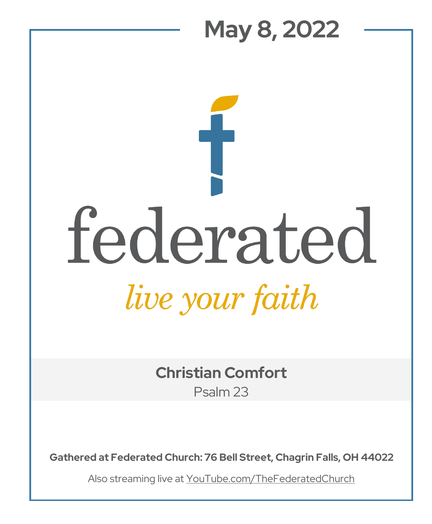# **May 8, 2022**  federated *live your faith*

**Christian Comfort** Psalm 23

**Gathered at Federated Church: 76 Bell Street, Chagrin Falls, OH 44022**

Also streaming live at YouTube.com/TheFederatedChurch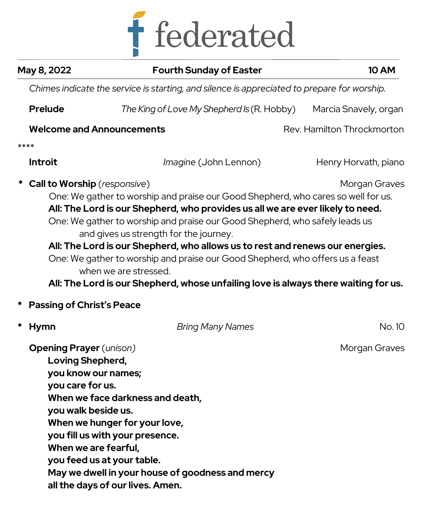

| May 8, 2022                                                                                                                                  | <b>Fourth Sunday of Easter</b>                                                                                                                                                                                                                                                                                                                                                                                                                                                                                                                                                 | <b>10 AM</b>               |  |  |
|----------------------------------------------------------------------------------------------------------------------------------------------|--------------------------------------------------------------------------------------------------------------------------------------------------------------------------------------------------------------------------------------------------------------------------------------------------------------------------------------------------------------------------------------------------------------------------------------------------------------------------------------------------------------------------------------------------------------------------------|----------------------------|--|--|
| Chimes indicate the service is starting, and silence is appreciated to prepare for worship.                                                  |                                                                                                                                                                                                                                                                                                                                                                                                                                                                                                                                                                                |                            |  |  |
| <b>Prelude</b>                                                                                                                               | The King of Love My Shepherd Is (R. Hobby)                                                                                                                                                                                                                                                                                                                                                                                                                                                                                                                                     | Marcia Snavely, organ      |  |  |
|                                                                                                                                              | <b>Welcome and Announcements</b>                                                                                                                                                                                                                                                                                                                                                                                                                                                                                                                                               | Rev. Hamilton Throckmorton |  |  |
| ****                                                                                                                                         |                                                                                                                                                                                                                                                                                                                                                                                                                                                                                                                                                                                |                            |  |  |
| <b>Introit</b>                                                                                                                               | Imagine (John Lennon)                                                                                                                                                                                                                                                                                                                                                                                                                                                                                                                                                          | Henry Horvath, piano       |  |  |
| <b>Call to Worship</b> (responsive)                                                                                                          | One: We gather to worship and praise our Good Shepherd, who cares so well for us.<br>All: The Lord is our Shepherd, who provides us all we are ever likely to need.<br>One: We gather to worship and praise our Good Shepherd, who safely leads us<br>and gives us strength for the journey.<br>All: The Lord is our Shepherd, who allows us to rest and renews our energies.<br>One: We gather to worship and praise our Good Shepherd, who offers us a feast<br>when we are stressed.<br>All: The Lord is our Shepherd, whose unfailing love is always there waiting for us. | Morgan Graves              |  |  |
| <b>Passing of Christ's Peace</b>                                                                                                             |                                                                                                                                                                                                                                                                                                                                                                                                                                                                                                                                                                                |                            |  |  |
| *<br>Hymn                                                                                                                                    | <b>Bring Many Names</b>                                                                                                                                                                                                                                                                                                                                                                                                                                                                                                                                                        | No. 10                     |  |  |
| <b>Opening Prayer</b> (unison)<br>Loving Shepherd,<br>you know our names;<br>you care for us.<br>you walk beside us.<br>When we are fearful, | When we face darkness and death,<br>When we hunger for your love,<br>you fill us with your presence.<br>you feed us at your table.<br>May we dwell in your house of goodness and mercy<br>all the days of our lives. Amen.                                                                                                                                                                                                                                                                                                                                                     | Morgan Graves              |  |  |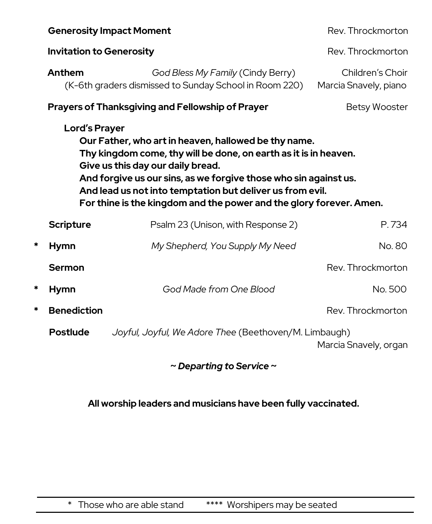| <b>Generosity Impact Moment</b> |                                                                                                                                                                                                                                                                                                                                                                                               | Rev. Throckmorton                                                                           |                                           |  |  |
|---------------------------------|-----------------------------------------------------------------------------------------------------------------------------------------------------------------------------------------------------------------------------------------------------------------------------------------------------------------------------------------------------------------------------------------------|---------------------------------------------------------------------------------------------|-------------------------------------------|--|--|
| <b>Invitation to Generosity</b> |                                                                                                                                                                                                                                                                                                                                                                                               | Rev. Throckmorton                                                                           |                                           |  |  |
|                                 | Anthem                                                                                                                                                                                                                                                                                                                                                                                        | God Bless My Family (Cindy Berry)<br>(K-6th graders dismissed to Sunday School in Room 220) | Children's Choir<br>Marcia Snavely, piano |  |  |
|                                 |                                                                                                                                                                                                                                                                                                                                                                                               | <b>Prayers of Thanksgiving and Fellowship of Prayer</b>                                     | <b>Betsy Wooster</b>                      |  |  |
|                                 | <b>Lord's Prayer</b><br>Our Father, who art in heaven, hallowed be thy name.<br>Thy kingdom come, thy will be done, on earth as it is in heaven.<br>Give us this day our daily bread.<br>And forgive us our sins, as we forgive those who sin against us.<br>And lead us not into temptation but deliver us from evil.<br>For thine is the kingdom and the power and the glory forever. Amen. |                                                                                             |                                           |  |  |
|                                 | <b>Scripture</b>                                                                                                                                                                                                                                                                                                                                                                              | Psalm 23 (Unison, with Response 2)                                                          | P.734                                     |  |  |
| *                               | <b>Hymn</b>                                                                                                                                                                                                                                                                                                                                                                                   | My Shepherd, You Supply My Need                                                             | No. 80                                    |  |  |
|                                 | <b>Sermon</b>                                                                                                                                                                                                                                                                                                                                                                                 |                                                                                             | Rev. Throckmorton                         |  |  |
| *                               | <b>Hymn</b>                                                                                                                                                                                                                                                                                                                                                                                   | God Made from One Blood                                                                     | No. 500                                   |  |  |
| *                               | <b>Benediction</b>                                                                                                                                                                                                                                                                                                                                                                            |                                                                                             | Rev. Throckmorton                         |  |  |
|                                 | <b>Postlude</b>                                                                                                                                                                                                                                                                                                                                                                               | Joyful, Joyful, We Adore Thee (Beethoven/M. Limbaugh)<br>Marcia Snavely, organ              |                                           |  |  |

**~** *Departing to Service* **~**

**All worship leaders and musicians have been fully vaccinated.**